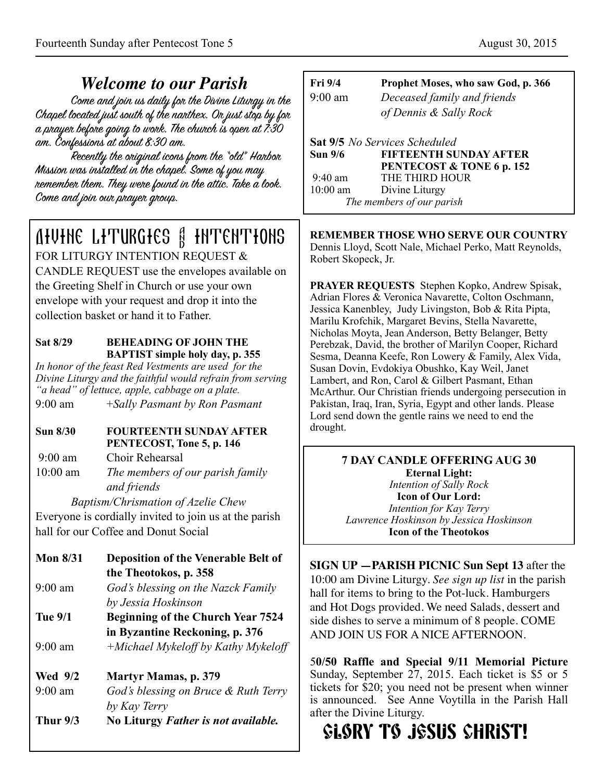## *Welcome to our Parish*

Come and join us daily for the Divine Liturgy in the Chapel located just south of the narthex. Or just stop by for a prayer before going to work. The church is open at  $7.30$ am. Confessions at about 8:30 am.

Recently the oniginal icons from the "old" Harbor Mission was installed in the chapel. Some of you may remember them. They were found in the attic. Take a look. Come and join our prayer group.

# Divine Liturgies & Intentions FOR LITURGY INTENTION REOUEST &

CANDLE REQUEST use the envelopes available on the Greeting Shelf in Church or use your own envelope with your request and drop it into the collection basket or hand it to Father.

#### **Sat 8/29 BEHEADING OF JOHN THE BAPTIST simple holy day, p. 355**

*In honor of the feast Red Vestments are used for the Divine Liturgy and the faithful would refrain from serving "a head" of lettuce, apple, cabbage on a plate.* 

9:00 am +*Sally Pasmant by Ron Pasmant* 

#### **Sun 8/30 FOURTEENTH SUNDAY AFTER PENTECOST, Tone 5, p. 146**

9:00 am Choir Rehearsal

10:00 am *The members of our parish family and friends* 

 *Baptism/Chrismation of Azelie Chew* 

Everyone is cordially invited to join us at the parish hall for our Coffee and Donut Social

- **Mon 8/31 Deposition of the Venerable Belt of the Theotokos, p. 358**  9:00 am *God's blessing on the Nazck Family by Jessia Hoskinson* **Tue 9/1 Beginning of the Church Year 7524 in Byzantine Reckoning, p. 376**  9:00 am *+Michael Mykeloff by Kathy Mykeloff* **Wed 9/2 Martyr Mamas, p. 379**  9:00 am *God's blessing on Bruce & Ruth Terry by Kay Terry*
- **Thur 9/3 No Liturgy** *Father is not available.*

| Fri 9/4        | Prophet Moses, who saw God, p. 366   |
|----------------|--------------------------------------|
| $9:00$ am      | Deceased family and friends          |
|                | of Dennis & Sally Rock               |
|                | <b>Sat 9/5</b> No Services Scheduled |
| <b>Sun 9/6</b> | FIFTEENTH SUNDAY AFTER               |
|                | PENTECOST & TONE 6 p. 152            |
| $9:40$ am      | THE THIRD HOUR                       |
| $10:00$ am     | Divine Liturgy                       |
|                | The members of our parish            |

**REMEMBER THOSE WHO SERVE OUR COUNTRY** 

Dennis Lloyd, Scott Nale, Michael Perko, Matt Reynolds, Robert Skopeck, Jr.

**PRAYER REQUESTS** Stephen Kopko, Andrew Spisak, Adrian Flores & Veronica Navarette, Colton Oschmann, Jessica Kanenbley, Judy Livingston, Bob & Rita Pipta, Marilu Krofchik, Margaret Bevins, Stella Navarette, Nicholas Moyta, Jean Anderson, Betty Belanger, Betty Perebzak, David, the brother of Marilyn Cooper, Richard Sesma, Deanna Keefe, Ron Lowery & Family, Alex Vida, Susan Dovin, Evdokiya Obushko, Kay Weil, Janet Lambert, and Ron, Carol & Gilbert Pasmant, Ethan McArthur. Our Christian friends undergoing persecution in Pakistan, Iraq, Iran, Syria, Egypt and other lands. Please Lord send down the gentle rains we need to end the drought.

**7 DAY CANDLE OFFERING AUG 30 Eternal Light:**  *Intention of Sally Rock*  **Icon of Our Lord:**  *Intention for Kay Terry Lawrence Hoskinson by Jessica Hoskinson*  **Icon of the Theotokos** 

**SIGN UP —PARISH PICNIC Sun Sept 13** after the 10:00 am Divine Liturgy. *See sign up list* in the parish hall for items to bring to the Pot-luck. Hamburgers and Hot Dogs provided. We need Salads, dessert and side dishes to serve a minimum of 8 people. COME AND JOIN US FOR A NICE AFTERNOON.

5**0/50 Raffle and Special 9/11 Memorial Picture**  Sunday, September 27, 2015. Each ticket is \$5 or 5 tickets for \$20; you need not be present when winner is announced. See Anne Voytilla in the Parish Hall after the Divine Liturgy.

# **GLORY TO JESUS CHRIST!**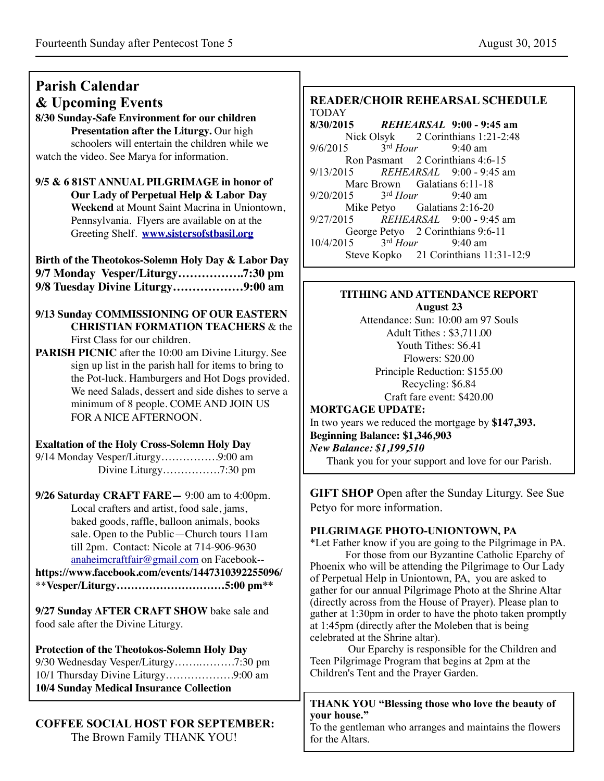#### **Parish Calendar & Upcoming Events 8/30 Sunday-Safe Environment for our children Presentation after the Liturgy.** Our high schoolers will entertain the children while we watch the video. See Marya for information. **9/5 & 6 81ST ANNUAL PILGRIMAGE in honor of Our Lady of Perpetual Help & Labor Day Weekend** at Mount Saint Macrina in Uniontown, Pennsylvania. Flyers are available on at the Greeting Shelf. **[www.sistersofstbasil.org](http://www.sistersofstbasil.org) Birth of the Theotokos-Solemn Holy Day & Labor Day 9/7 Monday Vesper/Liturgy……………..7:30 pm 9/8 Tuesday Divine Liturgy………………9:00 am 9/13 Sunday COMMISSIONING OF OUR EASTERN CHRISTIAN FORMATION TEACHERS** & the First Class for our children. **PARISH PICNIC** after the 10:00 am Divine Liturgy. See sign up list in the parish hall for items to bring to the Pot-luck. Hamburgers and Hot Dogs provided. We need Salads, dessert and side dishes to serve a minimum of 8 people. COME AND JOIN US FOR A NICE AFTERNOON. **Exaltation of the Holy Cross-Solemn Holy Day** 9/14 Monday Vesper/Liturgy…………….9:00 am Divine Liturgy…………….7:30 pm **9/26 Saturday CRAFT FARE—** 9:00 am to 4:00pm. Local crafters and artist, food sale, jams, baked goods, raffle, balloon animals, books sale. Open to the Public—Church tours 11am till 2pm. Contact: Nicole at 714-906-9630 [anaheimcraftfair@gmail.com](mailto:anaheimcraftfair@gmail.com) on Facebook- **<https://www.facebook.com/events/1447310392255096/>** \*\***Vesper/Liturgy…………………………5:00 pm\*\* 9/27 Sunday AFTER CRAFT SHOW** bake sale and food sale after the Divine Liturgy. **Protection of the Theotokos-Solemn Holy Day** 9/30 Wednesday Vesper/Liturgy…….……….7:30 pm 10/1 Thursday Divine Liturgy……………….9:00 am **10/4 Sunday Medical Insurance Collection** TODAY 9/6/2015 3rd *Hour* 9:40 am Marc Brown Galatians 6:11-18 9/20/2015 3rd *Hour* 9:40 am Mike Petyo Galatians 2:16-20 10/4/2015 3rd *Hour* 9:40 am **August 23**  Adult Tithes : \$3,711.00 Youth Tithes: \$6.41 Flowers: \$20.00 Recycling: \$6.84 Craft fare event: \$420.00 **MORTGAGE UPDATE: Beginning Balance: \$1,346,903** *New Balance: \$1,199,510* Petyo for more information. celebrated at the Shrine altar). Children's Tent and the Prayer Garden.

## **COFFEE SOCIAL HOST FOR SEPTEMBER:**

The Brown Family THANK YOU!

# **READER/CHOIR REHEARSAL SCHEDULE**

**8/30/2015** *REHEARSAL* **9:00 - 9:45 am** Nick Olsyk 2 Corinthians 1:21-2:48 Ron Pasmant 2 Corinthians 4:6-15 9/13/2015 *REHEARSAL* 9:00 - 9:45 am 9/27/2015 *REHEARSAL* 9:00 - 9:45 am George Petyo 2 Corinthians 9:6-11 Steve Kopko 21 Corinthians 11:31-12:9

# **TITHING AND ATTENDANCE REPORT**

Attendance: Sun: 10:00 am 97 Souls Principle Reduction: \$155.00 In two years we reduced the mortgage by **\$147,393.**

Thank you for your support and love for our Parish.

**GIFT SHOP** Open after the Sunday Liturgy. See Sue

### **PILGRIMAGE PHOTO-UNIONTOWN, PA**

\*Let Father know if you are going to the Pilgrimage in PA. For those from our Byzantine Catholic Eparchy of Phoenix who will be attending the Pilgrimage to Our Lady of Perpetual Help in Uniontown, PA, you are asked to gather for our annual Pilgrimage Photo at the Shrine Altar (directly across from the House of Prayer). Please plan to gather at 1:30pm in order to have the photo taken promptly at 1:45pm (directly after the Moleben that is being

 Our Eparchy is responsible for the Children and Teen Pilgrimage Program that begins at 2pm at the

#### **THANK YOU "Blessing those who love the beauty of your house."**

To the gentleman who arranges and maintains the flowers for the Altars.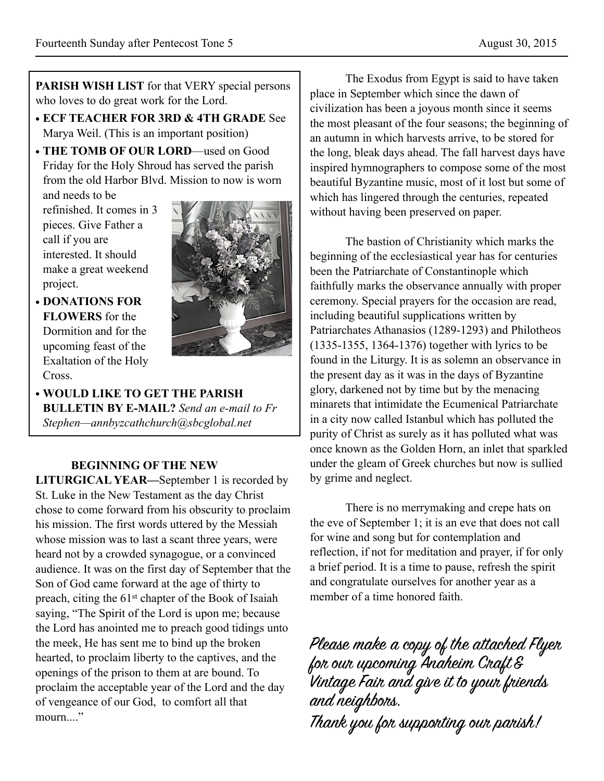**PARISH WISH LIST** for that VERY special persons who loves to do great work for the Lord.

- **• ECF TEACHER FOR 3RD & 4TH GRADE** See Marya Weil. (This is an important position)
- **• THE TOMB OF OUR LORD**—used on Good Friday for the Holy Shroud has served the parish from the old Harbor Blvd. Mission to now is worn

and needs to be refinished. It comes in 3 pieces. Give Father a call if you are interested. It should make a great weekend project.



- **• DONATIONS FOR FLOWERS** for the Dormition and for the upcoming feast of the Exaltation of the Holy Cross.
- **• WOULD LIKE TO GET THE PARISH BULLETIN BY E-MAIL?** *Send an e-mail to Fr Stephen—annbyzcathchurch@sbcglobal.net*

#### **BEGINNING OF THE NEW**

**LITURGICAL YEAR—**September 1 is recorded by St. Luke in the New Testament as the day Christ chose to come forward from his obscurity to proclaim his mission. The first words uttered by the Messiah whose mission was to last a scant three years, were heard not by a crowded synagogue, or a convinced audience. It was on the first day of September that the Son of God came forward at the age of thirty to preach, citing the 61st chapter of the Book of Isaiah saying, "The Spirit of the Lord is upon me; because the Lord has anointed me to preach good tidings unto the meek, He has sent me to bind up the broken hearted, to proclaim liberty to the captives, and the openings of the prison to them at are bound. To proclaim the acceptable year of the Lord and the day of vengeance of our God, to comfort all that mourn...."

The Exodus from Egypt is said to have taken place in September which since the dawn of civilization has been a joyous month since it seems the most pleasant of the four seasons; the beginning of an autumn in which harvests arrive, to be stored for the long, bleak days ahead. The fall harvest days have inspired hymnographers to compose some of the most beautiful Byzantine music, most of it lost but some of which has lingered through the centuries, repeated without having been preserved on paper.

The bastion of Christianity which marks the beginning of the ecclesiastical year has for centuries been the Patriarchate of Constantinople which faithfully marks the observance annually with proper ceremony. Special prayers for the occasion are read, including beautiful supplications written by Patriarchates Athanasios (1289-1293) and Philotheos (1335-1355, 1364-1376) together with lyrics to be found in the Liturgy. It is as solemn an observance in the present day as it was in the days of Byzantine glory, darkened not by time but by the menacing minarets that intimidate the Ecumenical Patriarchate in a city now called Istanbul which has polluted the purity of Christ as surely as it has polluted what was once known as the Golden Horn, an inlet that sparkled under the gleam of Greek churches but now is sullied by grime and neglect.

There is no merrymaking and crepe hats on the eve of September 1; it is an eve that does not call for wine and song but for contemplation and reflection, if not for meditation and prayer, if for only a brief period. It is a time to pause, refresh the spirit and congratulate ourselves for another year as a member of a time honored faith.

Please make a copy of the attached Flyer for our upcoming Anaheim Craft & Vintage Fair and give it to your friends and neighbors. Thank you for supporting our parish!